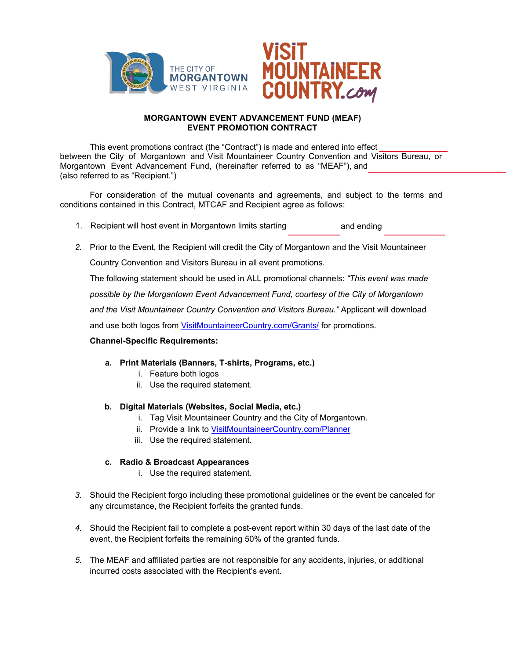

## **MORGANTOWN EVENT ADVANCEMENT FUND (MEAF) EVENT PROMOTION CONTRACT**

This event promotions contract (the "Contract") is made and entered into effect between the City of Morgantown and Visit Mountaineer Country Convention and Visitors Bureau, or Morgantown Event Advancement Fund, (hereinafter referred to as "MEAF"), and (also referred to as "Recipient.")

For consideration of the mutual covenants and agreements, and subject to the terms and conditions contained in this Contract, MTCAF and Recipient agree as follows:

- 1. Recipient will host event in Morgantown limits starting and ending
- *2.* Prior to the Event, the Recipient will credit the City of Morgantown and the Visit Mountaineer

Country Convention and Visitors Bureau in all event promotions.

The following statement should be used in ALL promotional channels: *"This event was made*

*possible by the Morgantown Event Advancement Fund, courtesy of the City of Morgantown*

*and the Visit Mountaineer Country Convention and Visitors Bureau."* Applicant will download

and use both logos from VisitMountaineerCountry.com/Grants/ for promotions.

## **Channel-Specific Requirements:**

- **a. Print Materials (Banners, T-shirts, Programs, etc.)**
	- i. Feature both logos
	- ii. Use the required statement.

## **b. Digital Materials (Websites, Social Media, etc.)**

- i. Tag Visit Mountaineer Country and the City of Morgantown.
- ii. Provide a link to VisitMountaineerCountry.com/Planner
- iii. Use the require[d statement.](visitmountaineercountry.com/planner)

## **c. Radio & Broadcast Appearances**

- i. Use the required statement.
- *3.* Should the Recipient forgo including these promotional guidelines or the event be canceled for any circumstance, the Recipient forfeits the granted funds.
- *4.* Should the Recipient fail to complete a post-event report within 30 days of the last date of the event, the Recipient forfeits the remaining 50% of the granted funds.
- *5.* The MEAF and affiliated parties are not responsible for any accidents, injuries, or additional incurred costs associated with the Recipient's event.